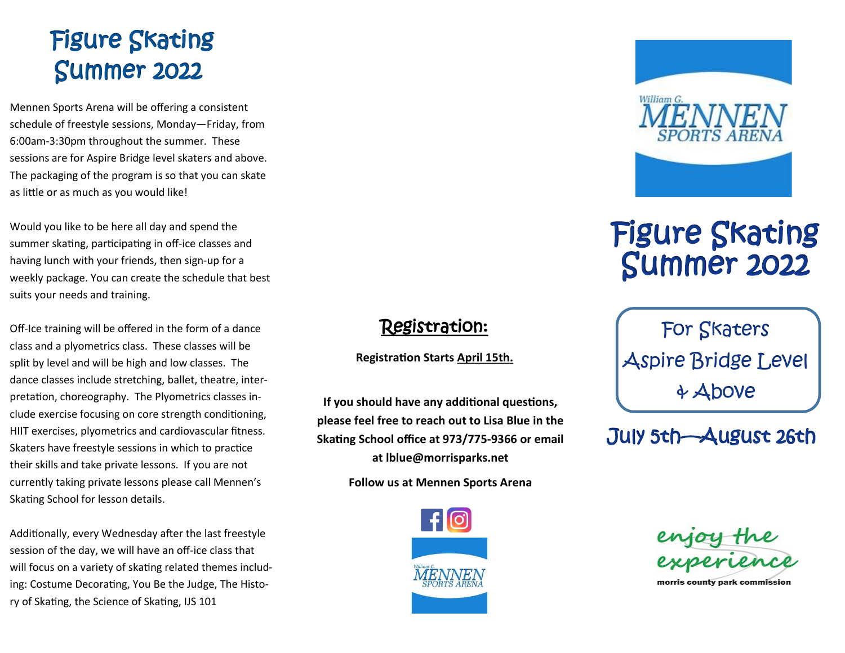# Figure Skating Summer 2022

Mennen Sports Arena will be offering a consistent schedule of freestyle sessions, Monday—Friday, from 6:00am-3:30pm throughout the summer. These sessions are for Aspire Bridge level skaters and above. The packaging of the program is so that you can skate as little or as much as you would like!

Would you like to be here all day and spend the summer skating, participating in off-ice classes and having lunch with your friends, then sign-up for a weekly package. You can create the schedule that best suits your needs and training.

Off-Ice training will be offered in the form of a dance class and a plyometrics class. These classes will be split by level and will be high and low classes. The dance classes include stretching, ballet, theatre, interpretation, choreography. The Plyometrics classes include exercise focusing on core strength conditioning, HIIT exercises, plyometrics and cardiovascular fitness. Skaters have freestyle sessions in which to practice their skills and take private lessons. If you are not currently taking private lessons please call Mennen's Skating School for lesson details.

Additionally, every Wednesday after the last freestyle session of the day, we will have an off-ice class that will focus on a variety of skating related themes including: Costume Decorating, You Be the Judge, The History of Skating, the Science of Skating, IJS 101



# Figure Skating Summer 2022

For Skaters Aspire Bridge Level & Above

## July 5th—August 26th



**If you should have any additional questions, please feel free to reach out to Lisa Blue in the Skating School office at 973/775-9366 or email at lblue@morrisparks.net**

Registration:

**Registration Starts April 15th.** 

**Follow us at Mennen Sports Arena**



morris county park commission